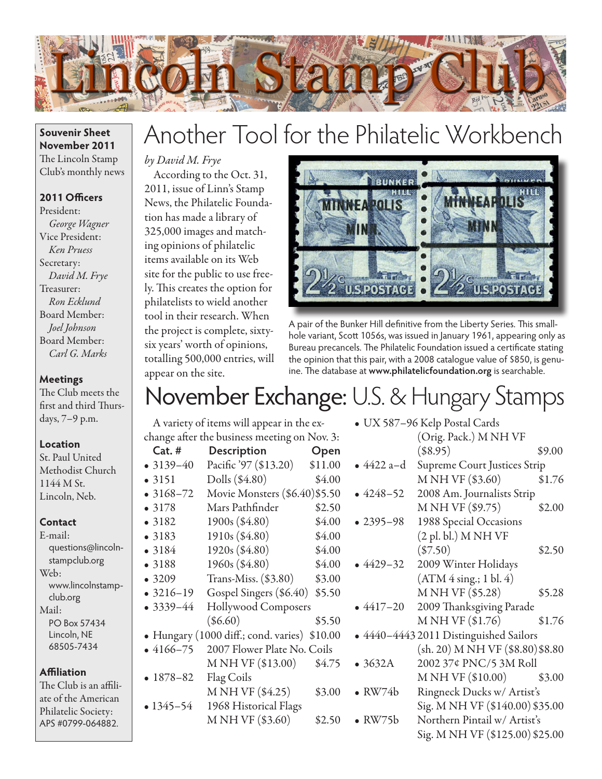

## **Souvenir Sheet November 2011** The Lincoln Stamp Club's monthly news

## **2011 Officers**

President: *George Wagner* Vice President: *Ken Pruess* Secretary: *David M. Frye* Treasurer: *Ron Ecklund* Board Member: *Joel Johnson* Board Member: *Carl G. Marks*

## **Meetings**

The Club meets the first and third Thursdays, 7–9 p.m.

#### **Location**

St. Paul United Methodist Church 1144 M St. Lincoln, Neb.

#### **Contact**

E-mail: questions@lincolnstampclub.org Web: www.lincolnstampclub.org Mail: PO Box 57434 Lincoln, NE 68505-7434

#### **Affiliation**

The Club is an affiliate of the American Philatelic Society: APS #0799-064882.

# Another Tool for the Philatelic Workbench

## *by David M. Frye*

According to the Oct. 31, 2011, issue of Linn's Stamp News, the Philatelic Foundation has made a library of 325,000 images and matching opinions of philatelic items available on its Web site for the public to use freely. This creates the option for philatelists to wield another tool in their research. When the project is complete, sixtysix years' worth of opinions, totalling 500,000 entries, will appear on the site.



A pair of the Bunker Hill definitive from the Liberty Series. This smallhole variant, Scott 1056s, was issued in January 1961, appearing only as Bureau precancels. The Philatelic Foundation issued a certificate stating the opinion that this pair, with a 2008 catalogue value of \$850, is genuine. The database at **www.philatelicfoundation.org** is searchable.

## November Exchange: U.S. & Hungary Stamps

| change after the business meeting on Nov. 3: |                               |         |  |  |
|----------------------------------------------|-------------------------------|---------|--|--|
| $Cat.$ #                                     | Description                   | Open    |  |  |
| $• 3139 - 40$                                | Pacific '97 (\$13.20)         | \$11.00 |  |  |
| • 3151                                       | Dolls (\$4.80)                | \$4.00  |  |  |
| $• 3168 - 72$                                | Movie Monsters (\$6.40)\$5.50 |         |  |  |
| • 3178                                       | Mars Pathfinder               | \$2.50  |  |  |
| •3182                                        | 1900s (\$4.80)                | \$4.00  |  |  |
| • 3183                                       | 1910s (\$4.80)                | \$4.00  |  |  |
| • 3184                                       | 1920s (\$4.80)                | \$4.00  |  |  |
| •3188                                        | 1960s (\$4.80)                | \$4.00  |  |  |
| • 3209                                       | Trans-Miss. $(\$3.80)$        | \$3.00  |  |  |
| $• 3216 - 19$                                | Gospel Singers (\$6.40)       | \$5.50  |  |  |
| $• 3339 - 44$                                | Hollywood Composers           |         |  |  |
|                                              | $(\$6.60)$                    | \$5.50  |  |  |
| · Hungary (1000 diff.; cond. varies) \$10.00 |                               |         |  |  |
| $•4166-75$                                   | 2007 Flower Plate No. Coils   |         |  |  |
|                                              | M NH VF (\$13.00)             | \$4.75  |  |  |
| $-1878-82$                                   | Flag Coils                    |         |  |  |
|                                              | M NH VF (\$4.25)              | \$3.00  |  |  |
| $• 1345 - 54$                                | 1968 Historical Flags         |         |  |  |
|                                              | M NH VF (\$3.60)              | \$2.50  |  |  |
|                                              |                               |         |  |  |

A variety of items will appear in the ex-

|                                        | • UX 587–96 Kelp Postal Cards       |        |  |
|----------------------------------------|-------------------------------------|--------|--|
|                                        | (Orig. Pack.) M NH VF               |        |  |
|                                        | $(\$8.95)$                          | \$9.00 |  |
| • 4422 a–d                             | <b>Supreme Court Justices Strip</b> |        |  |
|                                        | M NH VF (\$3.60)                    | \$1.76 |  |
| $-4248-52$                             | 2008 Am. Journalists Strip          |        |  |
|                                        | M NH VF (\$9.75)                    | \$2.00 |  |
| $-2395-98$                             | 1988 Special Occasions              |        |  |
|                                        | $(2 \text{ pl. bl.})$ M NH VF       |        |  |
|                                        | $(\$7.50)$                          | \$2.50 |  |
| $-4429-32$                             | 2009 Winter Holidays                |        |  |
|                                        | (ATM 4 sing.; 1 bl. 4)              |        |  |
|                                        | M NH VF (\$5.28)                    | \$5.28 |  |
| $-4417-20$                             | 2009 Thanksgiving Parade            |        |  |
|                                        | M NH VF (\$1.76)                    | \$1.76 |  |
| · 4440-4443 2011 Distinguished Sailors |                                     |        |  |
|                                        | (sh. 20) M NH VF (\$8.80) \$8.80    |        |  |
| • 3632A                                | 2002 37¢ PNC/5 3M Roll              |        |  |
|                                        | M NH VF (\$10.00)                   | \$3.00 |  |
| $\bullet$ RW74b                        | Ringneck Ducks w/ Artist's          |        |  |
|                                        | Sig. M NH VF (\$140.00) \$35.00     |        |  |
| RW75b                                  | Northern Pintail w/ Artist's        |        |  |
|                                        | Sig. M NH VF (\$125.00) \$25.00     |        |  |
|                                        |                                     |        |  |